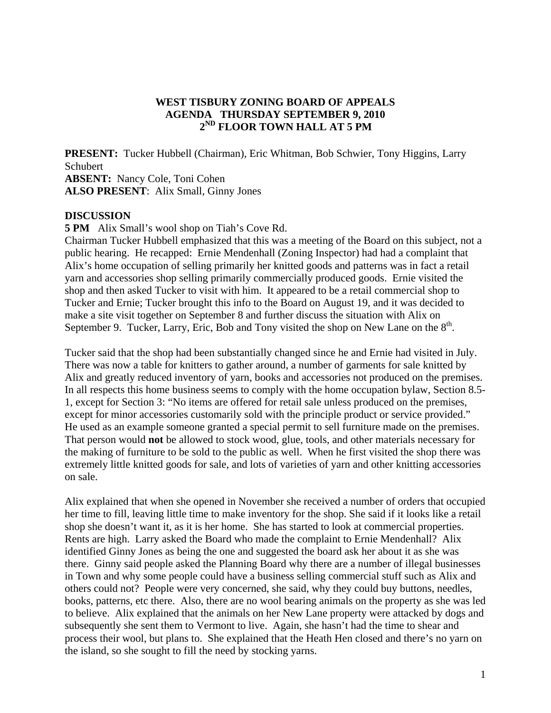## **WEST TISBURY ZONING BOARD OF APPEALS AGENDA THURSDAY SEPTEMBER 9, 2010 2ND FLOOR TOWN HALL AT 5 PM**

**PRESENT:** Tucker Hubbell (Chairman), Eric Whitman, Bob Schwier, Tony Higgins, Larry Schubert **ABSENT:** Nancy Cole, Toni Cohen **ALSO PRESENT**: Alix Small, Ginny Jones

## **DISCUSSION**

**5 PM** Alix Small's wool shop on Tiah's Cove Rd.

Chairman Tucker Hubbell emphasized that this was a meeting of the Board on this subject, not a public hearing. He recapped: Ernie Mendenhall (Zoning Inspector) had had a complaint that Alix's home occupation of selling primarily her knitted goods and patterns was in fact a retail yarn and accessories shop selling primarily commercially produced goods. Ernie visited the shop and then asked Tucker to visit with him. It appeared to be a retail commercial shop to Tucker and Ernie; Tucker brought this info to the Board on August 19, and it was decided to make a site visit together on September 8 and further discuss the situation with Alix on September 9. Tucker, Larry, Eric, Bob and Tony visited the shop on New Lane on the  $8<sup>th</sup>$ .

Tucker said that the shop had been substantially changed since he and Ernie had visited in July. There was now a table for knitters to gather around, a number of garments for sale knitted by Alix and greatly reduced inventory of yarn, books and accessories not produced on the premises. In all respects this home business seems to comply with the home occupation bylaw, Section 8.5- 1, except for Section 3: "No items are offered for retail sale unless produced on the premises, except for minor accessories customarily sold with the principle product or service provided." He used as an example someone granted a special permit to sell furniture made on the premises. That person would **not** be allowed to stock wood, glue, tools, and other materials necessary for the making of furniture to be sold to the public as well. When he first visited the shop there was extremely little knitted goods for sale, and lots of varieties of yarn and other knitting accessories on sale.

Alix explained that when she opened in November she received a number of orders that occupied her time to fill, leaving little time to make inventory for the shop. She said if it looks like a retail shop she doesn't want it, as it is her home. She has started to look at commercial properties. Rents are high. Larry asked the Board who made the complaint to Ernie Mendenhall? Alix identified Ginny Jones as being the one and suggested the board ask her about it as she was there. Ginny said people asked the Planning Board why there are a number of illegal businesses in Town and why some people could have a business selling commercial stuff such as Alix and others could not? People were very concerned, she said, why they could buy buttons, needles, books, patterns, etc there. Also, there are no wool bearing animals on the property as she was led to believe. Alix explained that the animals on her New Lane property were attacked by dogs and subsequently she sent them to Vermont to live. Again, she hasn't had the time to shear and process their wool, but plans to. She explained that the Heath Hen closed and there's no yarn on the island, so she sought to fill the need by stocking yarns.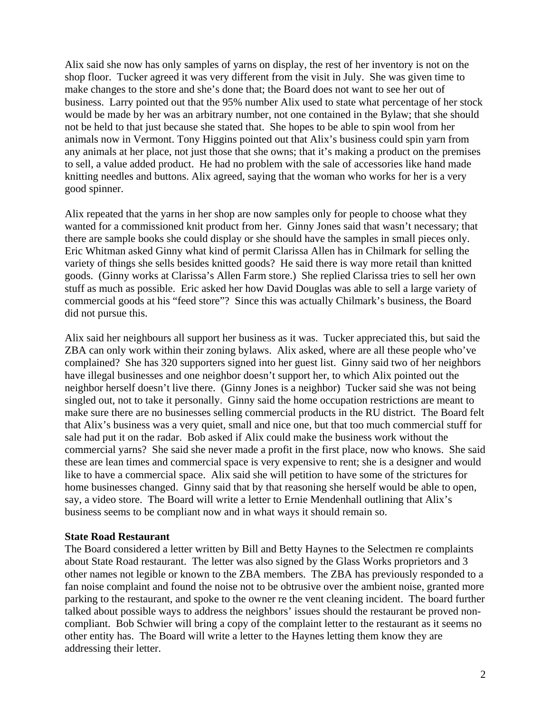Alix said she now has only samples of yarns on display, the rest of her inventory is not on the shop floor. Tucker agreed it was very different from the visit in July. She was given time to make changes to the store and she's done that; the Board does not want to see her out of business. Larry pointed out that the 95% number Alix used to state what percentage of her stock would be made by her was an arbitrary number, not one contained in the Bylaw; that she should not be held to that just because she stated that. She hopes to be able to spin wool from her animals now in Vermont. Tony Higgins pointed out that Alix's business could spin yarn from any animals at her place, not just those that she owns; that it's making a product on the premises to sell, a value added product. He had no problem with the sale of accessories like hand made knitting needles and buttons. Alix agreed, saying that the woman who works for her is a very good spinner.

Alix repeated that the yarns in her shop are now samples only for people to choose what they wanted for a commissioned knit product from her. Ginny Jones said that wasn't necessary; that there are sample books she could display or she should have the samples in small pieces only. Eric Whitman asked Ginny what kind of permit Clarissa Allen has in Chilmark for selling the variety of things she sells besides knitted goods? He said there is way more retail than knitted goods. (Ginny works at Clarissa's Allen Farm store.) She replied Clarissa tries to sell her own stuff as much as possible. Eric asked her how David Douglas was able to sell a large variety of commercial goods at his "feed store"? Since this was actually Chilmark's business, the Board did not pursue this.

Alix said her neighbours all support her business as it was. Tucker appreciated this, but said the ZBA can only work within their zoning bylaws. Alix asked, where are all these people who've complained? She has 320 supporters signed into her guest list. Ginny said two of her neighbors have illegal businesses and one neighbor doesn't support her, to which Alix pointed out the neighbor herself doesn't live there. (Ginny Jones is a neighbor) Tucker said she was not being singled out, not to take it personally. Ginny said the home occupation restrictions are meant to make sure there are no businesses selling commercial products in the RU district. The Board felt that Alix's business was a very quiet, small and nice one, but that too much commercial stuff for sale had put it on the radar. Bob asked if Alix could make the business work without the commercial yarns? She said she never made a profit in the first place, now who knows. She said these are lean times and commercial space is very expensive to rent; she is a designer and would like to have a commercial space. Alix said she will petition to have some of the strictures for home businesses changed. Ginny said that by that reasoning she herself would be able to open, say, a video store. The Board will write a letter to Ernie Mendenhall outlining that Alix's business seems to be compliant now and in what ways it should remain so.

#### **State Road Restaurant**

The Board considered a letter written by Bill and Betty Haynes to the Selectmen re complaints about State Road restaurant. The letter was also signed by the Glass Works proprietors and 3 other names not legible or known to the ZBA members. The ZBA has previously responded to a fan noise complaint and found the noise not to be obtrusive over the ambient noise, granted more parking to the restaurant, and spoke to the owner re the vent cleaning incident. The board further talked about possible ways to address the neighbors' issues should the restaurant be proved noncompliant. Bob Schwier will bring a copy of the complaint letter to the restaurant as it seems no other entity has. The Board will write a letter to the Haynes letting them know they are addressing their letter.